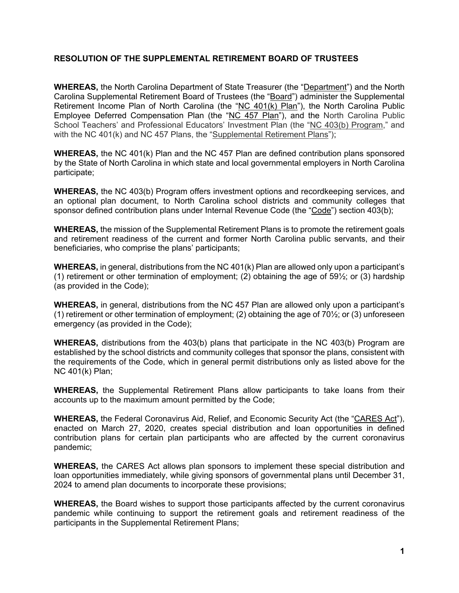## **RESOLUTION OF THE SUPPLEMENTAL RETIREMENT BOARD OF TRUSTEES**

**WHEREAS,** the North Carolina Department of State Treasurer (the "Department") and the North Carolina Supplemental Retirement Board of Trustees (the "Board") administer the Supplemental Retirement Income Plan of North Carolina (the "NC 401(k) Plan"), the North Carolina Public Employee Deferred Compensation Plan (the "NC 457 Plan"), and the North Carolina Public School Teachers' and Professional Educators' Investment Plan (the "NC 403(b) Program," and with the NC 401(k) and NC 457 Plans, the "Supplemental Retirement Plans");

**WHEREAS,** the NC 401(k) Plan and the NC 457 Plan are defined contribution plans sponsored by the State of North Carolina in which state and local governmental employers in North Carolina participate;

**WHEREAS,** the NC 403(b) Program offers investment options and recordkeeping services, and an optional plan document, to North Carolina school districts and community colleges that sponsor defined contribution plans under Internal Revenue Code (the "Code") section 403(b);

**WHEREAS,** the mission of the Supplemental Retirement Plans is to promote the retirement goals and retirement readiness of the current and former North Carolina public servants, and their beneficiaries, who comprise the plans' participants;

**WHEREAS,** in general, distributions from the NC 401(k) Plan are allowed only upon a participant's (1) retirement or other termination of employment; (2) obtaining the age of  $59\frac{1}{2}$ ; or (3) hardship (as provided in the Code);

**WHEREAS,** in general, distributions from the NC 457 Plan are allowed only upon a participant's (1) retirement or other termination of employment; (2) obtaining the age of  $70\frac{1}{2}$ ; or (3) unforeseen emergency (as provided in the Code);

**WHEREAS,** distributions from the 403(b) plans that participate in the NC 403(b) Program are established by the school districts and community colleges that sponsor the plans, consistent with the requirements of the Code, which in general permit distributions only as listed above for the NC 401(k) Plan;

**WHEREAS,** the Supplemental Retirement Plans allow participants to take loans from their accounts up to the maximum amount permitted by the Code;

**WHEREAS,** the Federal Coronavirus Aid, Relief, and Economic Security Act (the "CARES Act"), enacted on March 27, 2020, creates special distribution and loan opportunities in defined contribution plans for certain plan participants who are affected by the current coronavirus pandemic;

**WHEREAS,** the CARES Act allows plan sponsors to implement these special distribution and loan opportunities immediately, while giving sponsors of governmental plans until December 31, 2024 to amend plan documents to incorporate these provisions;

**WHEREAS,** the Board wishes to support those participants affected by the current coronavirus pandemic while continuing to support the retirement goals and retirement readiness of the participants in the Supplemental Retirement Plans;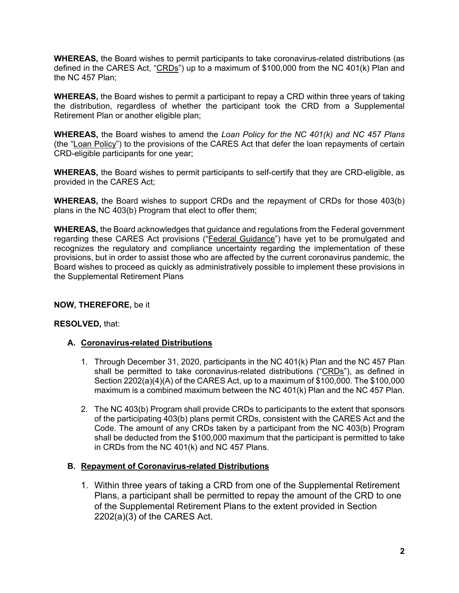**WHEREAS,** the Board wishes to permit participants to take coronavirus-related distributions (as defined in the CARES Act, "CRDs") up to a maximum of \$100,000 from the NC 401(k) Plan and the NC 457 Plan;

**WHEREAS,** the Board wishes to permit a participant to repay a CRD within three years of taking the distribution, regardless of whether the participant took the CRD from a Supplemental Retirement Plan or another eligible plan;

**WHEREAS,** the Board wishes to amend the *Loan Policy for the NC 401(k) and NC 457 Plans* (the "Loan Policy") to the provisions of the CARES Act that defer the loan repayments of certain CRD-eligible participants for one year;

**WHEREAS,** the Board wishes to permit participants to self-certify that they are CRD-eligible, as provided in the CARES Act;

**WHEREAS,** the Board wishes to support CRDs and the repayment of CRDs for those 403(b) plans in the NC 403(b) Program that elect to offer them;

**WHEREAS,** the Board acknowledges that guidance and regulations from the Federal government regarding these CARES Act provisions ("Federal Guidance") have yet to be promulgated and recognizes the regulatory and compliance uncertainty regarding the implementation of these provisions, but in order to assist those who are affected by the current coronavirus pandemic, the Board wishes to proceed as quickly as administratively possible to implement these provisions in the Supplemental Retirement Plans

## **NOW, THEREFORE,** be it

## **RESOLVED,** that:

## **A. Coronavirus-related Distributions**

- 1. Through December 31, 2020, participants in the NC 401(k) Plan and the NC 457 Plan shall be permitted to take coronavirus-related distributions ("CRDs"), as defined in Section 2202(a)(4)(A) of the CARES Act, up to a maximum of \$100,000. The \$100,000 maximum is a combined maximum between the NC 401(k) Plan and the NC 457 Plan.
- 2. The NC 403(b) Program shall provide CRDs to participants to the extent that sponsors of the participating 403(b) plans permit CRDs, consistent with the CARES Act and the Code. The amount of any CRDs taken by a participant from the NC 403(b) Program shall be deducted from the \$100,000 maximum that the participant is permitted to take in CRDs from the NC 401(k) and NC 457 Plans.

#### **B. Repayment of Coronavirus-related Distributions**

1. Within three years of taking a CRD from one of the Supplemental Retirement Plans, a participant shall be permitted to repay the amount of the CRD to one of the Supplemental Retirement Plans to the extent provided in Section 2202(a)(3) of the CARES Act.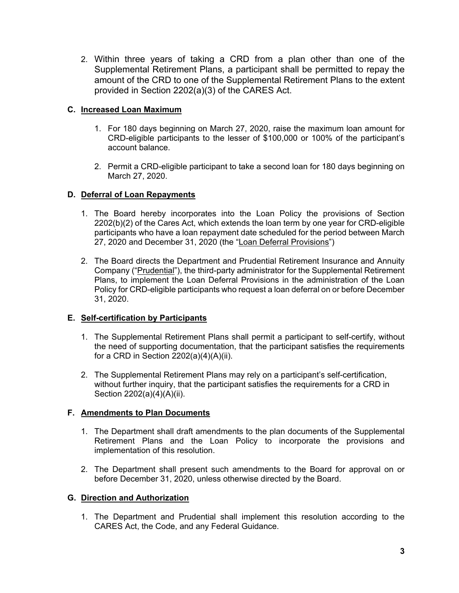2. Within three years of taking a CRD from a plan other than one of the Supplemental Retirement Plans, a participant shall be permitted to repay the amount of the CRD to one of the Supplemental Retirement Plans to the extent provided in Section 2202(a)(3) of the CARES Act.

# **C. Increased Loan Maximum**

- 1. For 180 days beginning on March 27, 2020, raise the maximum loan amount for CRD-eligible participants to the lesser of \$100,000 or 100% of the participant's account balance.
- 2. Permit a CRD-eligible participant to take a second loan for 180 days beginning on March 27, 2020.

## **D. Deferral of Loan Repayments**

- 1. The Board hereby incorporates into the Loan Policy the provisions of Section 2202(b)(2) of the Cares Act, which extends the loan term by one year for CRD-eligible participants who have a loan repayment date scheduled for the period between March 27, 2020 and December 31, 2020 (the "Loan Deferral Provisions")
- 2. The Board directs the Department and Prudential Retirement Insurance and Annuity Company ("Prudential"), the third-party administrator for the Supplemental Retirement Plans, to implement the Loan Deferral Provisions in the administration of the Loan Policy for CRD-eligible participants who request a loan deferral on or before December 31, 2020.

## **E. Self-certification by Participants**

- 1. The Supplemental Retirement Plans shall permit a participant to self-certify, without the need of supporting documentation, that the participant satisfies the requirements for a CRD in Section  $2202(a)(4)(A)(ii)$ .
- 2. The Supplemental Retirement Plans may rely on a participant's self-certification, without further inquiry, that the participant satisfies the requirements for a CRD in Section 2202(a)(4)(A)(ii).

## **F. Amendments to Plan Documents**

- 1. The Department shall draft amendments to the plan documents of the Supplemental Retirement Plans and the Loan Policy to incorporate the provisions and implementation of this resolution.
- 2. The Department shall present such amendments to the Board for approval on or before December 31, 2020, unless otherwise directed by the Board.

## **G. Direction and Authorization**

1. The Department and Prudential shall implement this resolution according to the CARES Act, the Code, and any Federal Guidance.